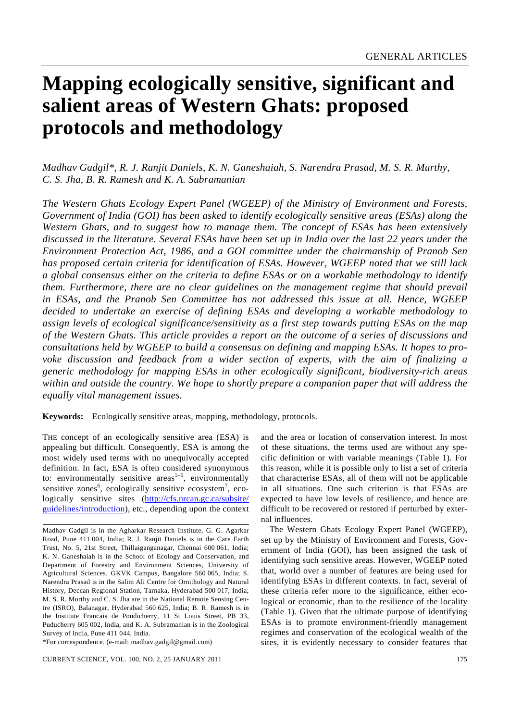# **Mapping ecologically sensitive, significant and salient areas of Western Ghats: proposed protocols and methodology**

*Madhav Gadgil\*, R. J. Ranjit Daniels, K. N. Ganeshaiah, S. Narendra Prasad, M. S. R. Murthy, C. S. Jha, B. R. Ramesh and K. A. Subramanian* 

*The Western Ghats Ecology Expert Panel (WGEEP) of the Ministry of Environment and Forests, Government of India (GOI) has been asked to identify ecologically sensitive areas (ESAs) along the Western Ghats, and to suggest how to manage them. The concept of ESAs has been extensively discussed in the literature. Several ESAs have been set up in India over the last 22 years under the Environment Protection Act, 1986, and a GOI committee under the chairmanship of Pranob Sen has proposed certain criteria for identification of ESAs. However, WGEEP noted that we still lack a global consensus either on the criteria to define ESAs or on a workable methodology to identify them. Furthermore, there are no clear guidelines on the management regime that should prevail in ESAs, and the Pranob Sen Committee has not addressed this issue at all. Hence, WGEEP decided to undertake an exercise of defining ESAs and developing a workable methodology to assign levels of ecological significance/sensitivity as a first step towards putting ESAs on the map of the Western Ghats. This article provides a report on the outcome of a series of discussions and consultations held by WGEEP to build a consensus on defining and mapping ESAs. It hopes to pro*voke discussion and feedback from a wider section of experts, with the aim of finalizing a *generic methodology for mapping ESAs in other ecologically significant, biodiversity-rich areas within and outside the country. We hope to shortly prepare a companion paper that will address the equally vital management issues.* 

**Keywords:** Ecologically sensitive areas, mapping, methodology, protocols.

THE concept of an ecologically sensitive area (ESA) is appealing but difficult. Consequently, ESA is among the most widely used terms with no unequivocally accepted definition. In fact, ESA is often considered synonymous to: environmentally sensitive areas<sup> $1-5$ </sup>, environmentally sensitive zones<sup>6</sup>, ecologically sensitive ecosystem<sup>7</sup>, ecologically sensitive sites (http://cfs.nrcan.gc.ca/subsite/ guidelines/introduction), etc., depending upon the context

\*For correspondence. (e-mail: madhav.gadgil@gmail.com)

and the area or location of conservation interest. In most of these situations, the terms used are without any specific definition or with variable meanings (Table 1). For this reason, while it is possible only to list a set of criteria that characterise ESAs, all of them will not be applicable in all situations. One such criterion is that ESAs are expected to have low levels of resilience, and hence are difficult to be recovered or restored if perturbed by external influences.

 The Western Ghats Ecology Expert Panel (WGEEP), set up by the Ministry of Environment and Forests, Government of India (GOI), has been assigned the task of identifying such sensitive areas. However, WGEEP noted that, world over a number of features are being used for identifying ESAs in different contexts. In fact, several of these criteria refer more to the significance, either ecological or economic, than to the resilience of the locality (Table 1). Given that the ultimate purpose of identifying ESAs is to promote environment-friendly management regimes and conservation of the ecological wealth of the sites, it is evidently necessary to consider features that

Madhav Gadgil is in the Agharkar Research Institute, G. G. Agarkar Road, Pune 411 004, India; R. J. Ranjit Daniels is in the Care Earth Trust, No. 5, 21st Street, Thillaiganganagar, Chennai 600 061, India; K. N. Ganeshaiah is in the School of Ecology and Conservation, and Department of Forestry and Environment Sciences, University of Agricultural Sciences, GKVK Campus, Bangalore 560 065, India; S. Narendra Prasad is in the Salim Ali Centre for Ornithology and Natural History, Deccan Regional Station, Tarnaka, Hyderabad 500 017, India; M. S. R. Murthy and C. S. Jha are in the National Remote Sensing Centre (ISRO), Balanagar, Hyderabad 560 625, India; B. R. Ramesh is in the Institute Francais de Pondicherry, 11 St Louis Street, PB 33, Puducherry 605 002, India, and K. A. Subramanian is in the Zoological Survey of India, Pune 411 044, India.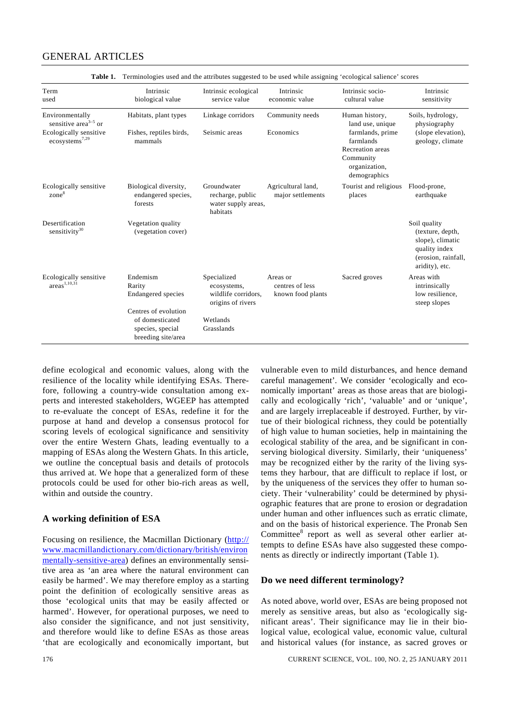| Terminologies used and the attributes suggested to be used while assigning recological salience scoles |                                                                         |                                                                        |                                                  |                                                                                                 |                                                                                                                |  |
|--------------------------------------------------------------------------------------------------------|-------------------------------------------------------------------------|------------------------------------------------------------------------|--------------------------------------------------|-------------------------------------------------------------------------------------------------|----------------------------------------------------------------------------------------------------------------|--|
| Term<br>used                                                                                           | Intrinsic<br>biological value                                           | Intrinsic ecological<br>service value                                  | Intrinsic<br>economic value                      | Intrinsic socio-<br>cultural value                                                              | Intrinsic<br>sensitivity                                                                                       |  |
| Environmentally<br>sensitive area <sup><math>3-5</math></sup> or                                       | Habitats, plant types                                                   | Linkage corridors                                                      | Community needs                                  | Human history,<br>land use, unique                                                              | Soils, hydrology,<br>physiography                                                                              |  |
| Ecologically sensitive<br>ecosystems <sup>7,29</sup>                                                   | Fishes, reptiles birds,<br>mammals                                      | Seismic areas                                                          | Economics                                        | farmlands, prime<br>farmlands<br>Recreation areas<br>Community<br>organization,<br>demographics | (slope elevation),<br>geology, climate                                                                         |  |
| Ecologically sensitive<br>zone <sup>8</sup>                                                            | Biological diversity,<br>endangered species,<br>forests                 | Groundwater<br>recharge, public<br>water supply areas,<br>habitats     | Agricultural land,<br>major settlements          | Tourist and religious<br>places                                                                 | Flood-prone,<br>earthquake                                                                                     |  |
| Desertification<br>sensitivity <sup>30</sup>                                                           | Vegetation quality<br>(vegetation cover)                                |                                                                        |                                                  |                                                                                                 | Soil quality<br>(texture, depth,<br>slope), climatic<br>quality index<br>(erosion, rainfall,<br>aridity), etc. |  |
| Ecologically sensitive<br>area <sup>1,10,31</sup>                                                      | Endemism<br>Rarity<br><b>Endangered</b> species<br>Centres of evolution | Specialized<br>ecosystems,<br>wildlife corridors,<br>origins of rivers | Areas or<br>centres of less<br>known food plants | Sacred groves                                                                                   | Areas with<br>intrinsically<br>low resilience,<br>steep slopes                                                 |  |
|                                                                                                        | of domesticated<br>species, special<br>breeding site/area               | Wetlands<br>Grasslands                                                 |                                                  |                                                                                                 |                                                                                                                |  |

**Table 1.** Terminologies used and the attributes suggested to be used while assigning 'ecological salience' scores

define ecological and economic values, along with the resilience of the locality while identifying ESAs. Therefore, following a country-wide consultation among experts and interested stakeholders, WGEEP has attempted to re-evaluate the concept of ESAs, redefine it for the purpose at hand and develop a consensus protocol for scoring levels of ecological significance and sensitivity over the entire Western Ghats, leading eventually to a mapping of ESAs along the Western Ghats. In this article, we outline the conceptual basis and details of protocols thus arrived at. We hope that a generalized form of these protocols could be used for other bio-rich areas as well, within and outside the country.

#### **A working definition of ESA**

Focusing on resilience, the Macmillan Dictionary (http:// www.macmillandictionary.com/dictionary/british/environ mentally-sensitive-area) defines an environmentally sensitive area as 'an area where the natural environment can easily be harmed'. We may therefore employ as a starting point the definition of ecologically sensitive areas as those 'ecological units that may be easily affected or harmed'. However, for operational purposes, we need to also consider the significance, and not just sensitivity, and therefore would like to define ESAs as those areas 'that are ecologically and economically important, but

vulnerable even to mild disturbances, and hence demand careful management'. We consider 'ecologically and economically important' areas as those areas that are biologically and ecologically 'rich', 'valuable' and or 'unique', and are largely irreplaceable if destroyed. Further, by virtue of their biological richness, they could be potentially of high value to human societies, help in maintaining the ecological stability of the area, and be significant in conserving biological diversity. Similarly, their 'uniqueness' may be recognized either by the rarity of the living systems they harbour, that are difficult to replace if lost, or by the uniqueness of the services they offer to human society. Their 'vulnerability' could be determined by physiographic features that are prone to erosion or degradation under human and other influences such as erratic climate, and on the basis of historical experience. The Pronab Sen Committee<sup>8</sup> report as well as several other earlier attempts to define ESAs have also suggested these components as directly or indirectly important (Table 1).

#### **Do we need different terminology?**

As noted above, world over, ESAs are being proposed not merely as sensitive areas, but also as 'ecologically significant areas'. Their significance may lie in their biological value, ecological value, economic value, cultural and historical values (for instance, as sacred groves or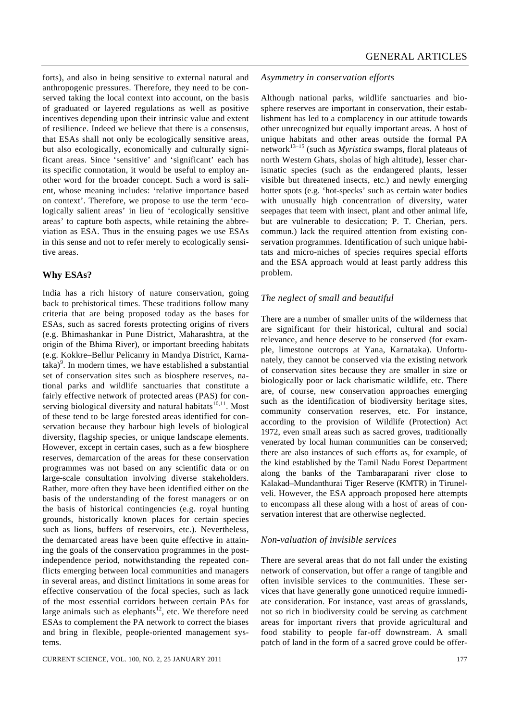forts), and also in being sensitive to external natural and anthropogenic pressures. Therefore, they need to be conserved taking the local context into account, on the basis of graduated or layered regulations as well as positive incentives depending upon their intrinsic value and extent of resilience. Indeed we believe that there is a consensus, that ESAs shall not only be ecologically sensitive areas, but also ecologically, economically and culturally significant areas. Since 'sensitive' and 'significant' each has its specific connotation, it would be useful to employ another word for the broader concept. Such a word is salient, whose meaning includes: 'relative importance based on context'. Therefore, we propose to use the term 'ecologically salient areas' in lieu of 'ecologically sensitive areas' to capture both aspects, while retaining the abbreviation as ESA. Thus in the ensuing pages we use ESAs in this sense and not to refer merely to ecologically sensitive areas.

## **Why ESAs?**

India has a rich history of nature conservation, going back to prehistorical times. These traditions follow many criteria that are being proposed today as the bases for ESAs, such as sacred forests protecting origins of rivers (e.g. Bhimashankar in Pune District, Maharashtra, at the origin of the Bhima River), or important breeding habitats (e.g. Kokkre–Bellur Pelicanry in Mandya District, Karna- $\text{taka}$ <sup>9</sup>. In modern times, we have established a substantial set of conservation sites such as biosphere reserves, national parks and wildlife sanctuaries that constitute a fairly effective network of protected areas (PAS) for conserving biological diversity and natural habitats $10,11$ . Most of these tend to be large forested areas identified for conservation because they harbour high levels of biological diversity, flagship species, or unique landscape elements. However, except in certain cases, such as a few biosphere reserves, demarcation of the areas for these conservation programmes was not based on any scientific data or on large-scale consultation involving diverse stakeholders. Rather, more often they have been identified either on the basis of the understanding of the forest managers or on the basis of historical contingencies (e.g. royal hunting grounds, historically known places for certain species such as lions, buffers of reservoirs, etc.). Nevertheless, the demarcated areas have been quite effective in attaining the goals of the conservation programmes in the postindependence period, notwithstanding the repeated conflicts emerging between local communities and managers in several areas, and distinct limitations in some areas for effective conservation of the focal species, such as lack of the most essential corridors between certain PAs for large animals such as elephants<sup>12</sup>, etc. We therefore need ESAs to complement the PA network to correct the biases and bring in flexible, people-oriented management systems.

#### *Asymmetry in conservation efforts*

Although national parks, wildlife sanctuaries and biosphere reserves are important in conservation, their establishment has led to a complacency in our attitude towards other unrecognized but equally important areas. A host of unique habitats and other areas outside the formal PA network13–15 (such as *Myristica* swamps, floral plateaus of north Western Ghats, sholas of high altitude), lesser charismatic species (such as the endangered plants, lesser visible but threatened insects, etc.) and newly emerging hotter spots (e.g. 'hot-specks' such as certain water bodies with unusually high concentration of diversity, water seepages that teem with insect, plant and other animal life, but are vulnerable to desiccation; P. T. Cherian, pers. commun.) lack the required attention from existing conservation programmes. Identification of such unique habitats and micro-niches of species requires special efforts and the ESA approach would at least partly address this problem.

#### *The neglect of small and beautiful*

There are a number of smaller units of the wilderness that are significant for their historical, cultural and social relevance, and hence deserve to be conserved (for example, limestone outcrops at Yana, Karnataka). Unfortunately, they cannot be conserved via the existing network of conservation sites because they are smaller in size or biologically poor or lack charismatic wildlife, etc. There are, of course, new conservation approaches emerging such as the identification of biodiversity heritage sites, community conservation reserves, etc. For instance, according to the provision of Wildlife (Protection) Act 1972, even small areas such as sacred groves, traditionally venerated by local human communities can be conserved; there are also instances of such efforts as, for example, of the kind established by the Tamil Nadu Forest Department along the banks of the Tambaraparani river close to Kalakad–Mundanthurai Tiger Reserve (KMTR) in Tirunelveli. However, the ESA approach proposed here attempts to encompass all these along with a host of areas of conservation interest that are otherwise neglected.

#### *Non-valuation of invisible services*

There are several areas that do not fall under the existing network of conservation, but offer a range of tangible and often invisible services to the communities. These services that have generally gone unnoticed require immediate consideration. For instance, vast areas of grasslands, not so rich in biodiversity could be serving as catchment areas for important rivers that provide agricultural and food stability to people far-off downstream. A small patch of land in the form of a sacred grove could be offer-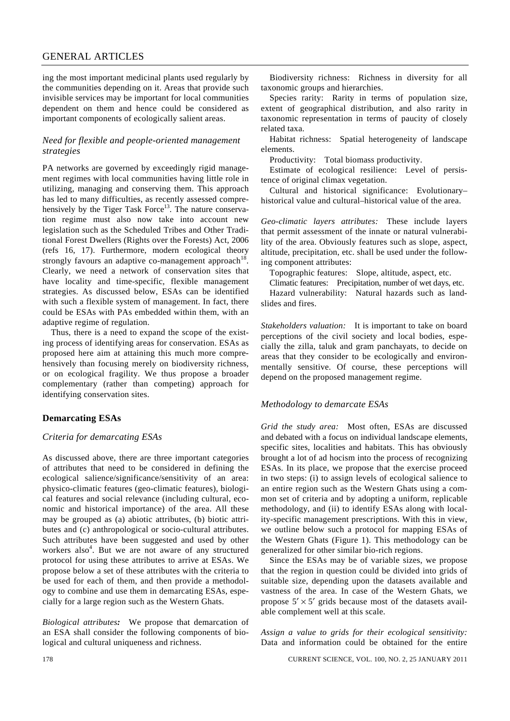ing the most important medicinal plants used regularly by the communities depending on it. Areas that provide such invisible services may be important for local communities dependent on them and hence could be considered as important components of ecologically salient areas.

#### *Need for flexible and people-oriented management strategies*

PA networks are governed by exceedingly rigid management regimes with local communities having little role in utilizing, managing and conserving them. This approach has led to many difficulties, as recently assessed comprehensively by the Tiger Task Force<sup>13</sup>. The nature conservation regime must also now take into account new legislation such as the Scheduled Tribes and Other Traditional Forest Dwellers (Rights over the Forests) Act, 2006 (refs 16, 17). Furthermore, modern ecological theory strongly favours an adaptive co-management approach<sup>18</sup>. Clearly, we need a network of conservation sites that have locality and time-specific, flexible management strategies. As discussed below, ESAs can be identified with such a flexible system of management. In fact, there could be ESAs with PAs embedded within them, with an adaptive regime of regulation.

 Thus, there is a need to expand the scope of the existing process of identifying areas for conservation. ESAs as proposed here aim at attaining this much more comprehensively than focusing merely on biodiversity richness, or on ecological fragility. We thus propose a broader complementary (rather than competing) approach for identifying conservation sites.

## **Demarcating ESAs**

## *Criteria for demarcating ESAs*

As discussed above, there are three important categories of attributes that need to be considered in defining the ecological salience/significance/sensitivity of an area: physico-climatic features (geo-climatic features), biological features and social relevance (including cultural, economic and historical importance) of the area. All these may be grouped as (a) abiotic attributes, (b) biotic attributes and (c) anthropological or socio-cultural attributes. Such attributes have been suggested and used by other workers also<sup>4</sup>. But we are not aware of any structured protocol for using these attributes to arrive at ESAs. We propose below a set of these attributes with the criteria to be used for each of them, and then provide a methodology to combine and use them in demarcating ESAs, especially for a large region such as the Western Ghats.

*Biological attributes:* We propose that demarcation of an ESA shall consider the following components of biological and cultural uniqueness and richness.

 Biodiversity richness: Richness in diversity for all taxonomic groups and hierarchies.

 Species rarity: Rarity in terms of population size, extent of geographical distribution, and also rarity in taxonomic representation in terms of paucity of closely related taxa.

 Habitat richness: Spatial heterogeneity of landscape elements.

Productivity: Total biomass productivity.

 Estimate of ecological resilience: Level of persistence of original climax vegetation.

 Cultural and historical significance: Evolutionary– historical value and cultural–historical value of the area.

*Geo-climatic layers attributes:* These include layers that permit assessment of the innate or natural vulnerability of the area. Obviously features such as slope, aspect, altitude, precipitation, etc. shall be used under the following component attributes:

Topographic features: Slope, altitude, aspect, etc.

 Climatic features: Precipitation, number of wet days, etc. Hazard vulnerability: Natural hazards such as landslides and fires.

*Stakeholders valuation:* It is important to take on board perceptions of the civil society and local bodies, especially the zilla, taluk and gram panchayats, to decide on areas that they consider to be ecologically and environmentally sensitive. Of course, these perceptions will depend on the proposed management regime.

#### *Methodology to demarcate ESAs*

*Grid the study area:* Most often, ESAs are discussed and debated with a focus on individual landscape elements, specific sites, localities and habitats. This has obviously brought a lot of ad hocism into the process of recognizing ESAs. In its place, we propose that the exercise proceed in two steps: (i) to assign levels of ecological salience to an entire region such as the Western Ghats using a common set of criteria and by adopting a uniform, replicable methodology, and (ii) to identify ESAs along with locality-specific management prescriptions. With this in view, we outline below such a protocol for mapping ESAs of the Western Ghats (Figure 1). This methodology can be generalized for other similar bio-rich regions.

 Since the ESAs may be of variable sizes, we propose that the region in question could be divided into grids of suitable size, depending upon the datasets available and vastness of the area. In case of the Western Ghats, we propose  $5' \times 5'$  grids because most of the datasets available complement well at this scale.

*Assign a value to grids for their ecological sensitivity:* Data and information could be obtained for the entire

178 CURRENT SCIENCE, VOL. 100, NO. 2, 25 JANUARY 2011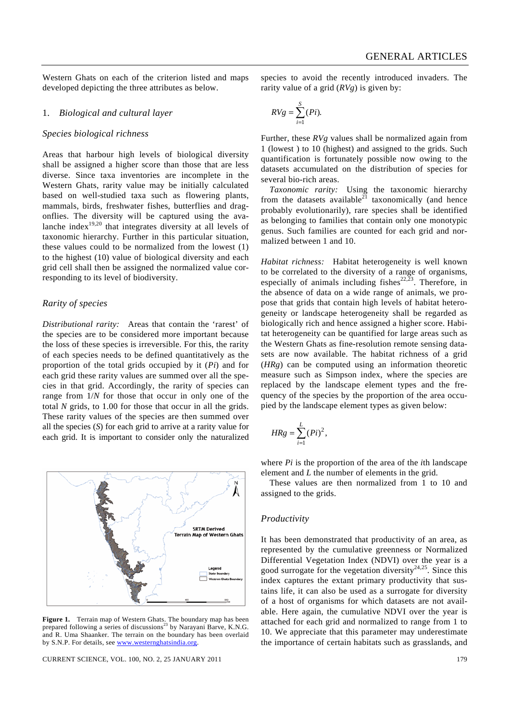Western Ghats on each of the criterion listed and maps developed depicting the three attributes as below.

#### 1. *Biological and cultural layer*

#### *Species biological richness*

Areas that harbour high levels of biological diversity shall be assigned a higher score than those that are less diverse. Since taxa inventories are incomplete in the Western Ghats, rarity value may be initially calculated based on well-studied taxa such as flowering plants, mammals, birds, freshwater fishes, butterflies and dragonflies. The diversity will be captured using the avalanche index<sup>19,20</sup> that integrates diversity at all levels of taxonomic hierarchy. Further in this particular situation, these values could to be normalized from the lowest (1) to the highest (10) value of biological diversity and each grid cell shall then be assigned the normalized value corresponding to its level of biodiversity.

## *Rarity of species*

*Distributional rarity:* Areas that contain the 'rarest' of the species are to be considered more important because the loss of these species is irreversible. For this, the rarity of each species needs to be defined quantitatively as the proportion of the total grids occupied by it (*Pi*) and for each grid these rarity values are summed over all the species in that grid. Accordingly, the rarity of species can range from 1/*N* for those that occur in only one of the total *N* grids, to 1.00 for those that occur in all the grids. These rarity values of the species are then summed over all the species (*S*) for each grid to arrive at a rarity value for each grid. It is important to consider only the naturalized



**Figure 1.** Terrain map of Western Ghats. The boundary map has been prepared following a series of discussions<sup>23</sup> by Narayani Barve, K.N.G. and R. Uma Shaanker. The terrain on the boundary has been overlaid by S.N.P. For details, see www.westernghatsindia.org

CURRENT SCIENCE, VOL. 100, NO. 2, 25 JANUARY 2011 179

species to avoid the recently introduced invaders. The rarity value of a grid (*RVg*) is given by:

$$
RVg = \sum_{i=1}^{S} (Pi).
$$

Further, these *RVg* values shall be normalized again from 1 (lowest ) to 10 (highest) and assigned to the grids. Such quantification is fortunately possible now owing to the datasets accumulated on the distribution of species for several bio-rich areas.

*Taxonomic rarity:* Using the taxonomic hierarchy from the datasets available<sup>21</sup> taxonomically (and hence probably evolutionarily), rare species shall be identified as belonging to families that contain only one monotypic genus. Such families are counted for each grid and normalized between 1 and 10.

*Habitat richness:* Habitat heterogeneity is well known to be correlated to the diversity of a range of organisms, especially of animals including fishes<sup>22,23</sup>. Therefore, in the absence of data on a wide range of animals, we propose that grids that contain high levels of habitat heterogeneity or landscape heterogeneity shall be regarded as biologically rich and hence assigned a higher score. Habitat heterogeneity can be quantified for large areas such as the Western Ghats as fine-resolution remote sensing datasets are now available. The habitat richness of a grid (*HRg*) can be computed using an information theoretic measure such as Simpson index, where the species are replaced by the landscape element types and the frequency of the species by the proportion of the area occupied by the landscape element types as given below:

$$
HRg = \sum_{i=1}^{L} (Pi)^2,
$$

where *Pi* is the proportion of the area of the *i*th landscape element and *L* the number of elements in the grid.

 These values are then normalized from 1 to 10 and assigned to the grids.

#### *Productivity*

It has been demonstrated that productivity of an area, as represented by the cumulative greenness or Normalized Differential Vegetation Index (NDVI) over the year is a good surrogate for the vegetation diversity<sup>24,25</sup>. Since this index captures the extant primary productivity that sustains life, it can also be used as a surrogate for diversity of a host of organisms for which datasets are not available. Here again, the cumulative NDVI over the year is attached for each grid and normalized to range from 1 to 10. We appreciate that this parameter may underestimate the importance of certain habitats such as grasslands, and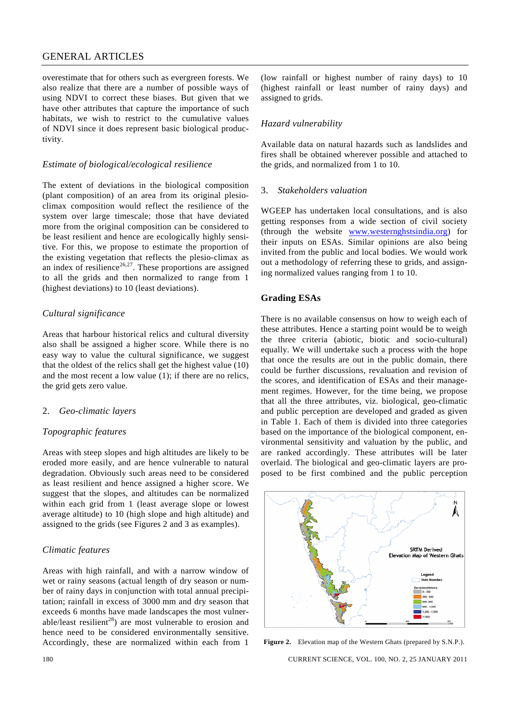overestimate that for others such as evergreen forests. We also realize that there are a number of possible ways of using NDVI to correct these biases. But given that we have other attributes that capture the importance of such habitats, we wish to restrict to the cumulative values of NDVI since it does represent basic biological productivity.

#### *Estimate of biological/ecological resilience*

The extent of deviations in the biological composition (plant composition) of an area from its original plesioclimax composition would reflect the resilience of the system over large timescale; those that have deviated more from the original composition can be considered to be least resilient and hence are ecologically highly sensitive. For this, we propose to estimate the proportion of the existing vegetation that reflects the plesio-climax as an index of resilience<sup>26,27</sup>. These proportions are assigned to all the grids and then normalized to range from 1 (highest deviations) to 10 (least deviations).

## *Cultural significance*

Areas that harbour historical relics and cultural diversity also shall be assigned a higher score. While there is no easy way to value the cultural significance, we suggest that the oldest of the relics shall get the highest value (10) and the most recent a low value (1); if there are no relics, the grid gets zero value.

#### 2. *Geo-climatic layers*

#### *Topographic features*

Areas with steep slopes and high altitudes are likely to be eroded more easily, and are hence vulnerable to natural degradation. Obviously such areas need to be considered as least resilient and hence assigned a higher score. We suggest that the slopes, and altitudes can be normalized within each grid from 1 (least average slope or lowest average altitude) to 10 (high slope and high altitude) and assigned to the grids (see Figures 2 and 3 as examples).

#### *Climatic features*

Areas with high rainfall, and with a narrow window of wet or rainy seasons (actual length of dry season or number of rainy days in conjunction with total annual precipitation; rainfall in excess of 3000 mm and dry season that exceeds 6 months have made landscapes the most vulnerable/least resilient<sup>28</sup>) are most vulnerable to erosion and hence need to be considered environmentally sensitive. Accordingly, these are normalized within each from 1

(low rainfall or highest number of rainy days) to 10 (highest rainfall or least number of rainy days) and assigned to grids.

## *Hazard vulnerability*

Available data on natural hazards such as landslides and fires shall be obtained wherever possible and attached to the grids, and normalized from 1 to 10.

#### 3. *Stakeholders valuation*

WGEEP has undertaken local consultations, and is also getting responses from a wide section of civil society (through the website www.westernghstsindia.org) for their inputs on ESAs. Similar opinions are also being invited from the public and local bodies. We would work out a methodology of referring these to grids, and assigning normalized values ranging from 1 to 10.

## **Grading ESAs**

There is no available consensus on how to weigh each of these attributes. Hence a starting point would be to weigh the three criteria (abiotic, biotic and socio-cultural) equally. We will undertake such a process with the hope that once the results are out in the public domain, there could be further discussions, revaluation and revision of the scores, and identification of ESAs and their management regimes. However, for the time being, we propose that all the three attributes, viz. biological, geo-climatic and public perception are developed and graded as given in Table 1. Each of them is divided into three categories based on the importance of the biological component, environmental sensitivity and valuation by the public, and are ranked accordingly. These attributes will be later overlaid. The biological and geo-climatic layers are proposed to be first combined and the public perception



**Figure 2.** Elevation map of the Western Ghats (prepared by S.N.P.).

180 CURRENT SCIENCE, VOL. 100, NO. 2, 25 JANUARY 2011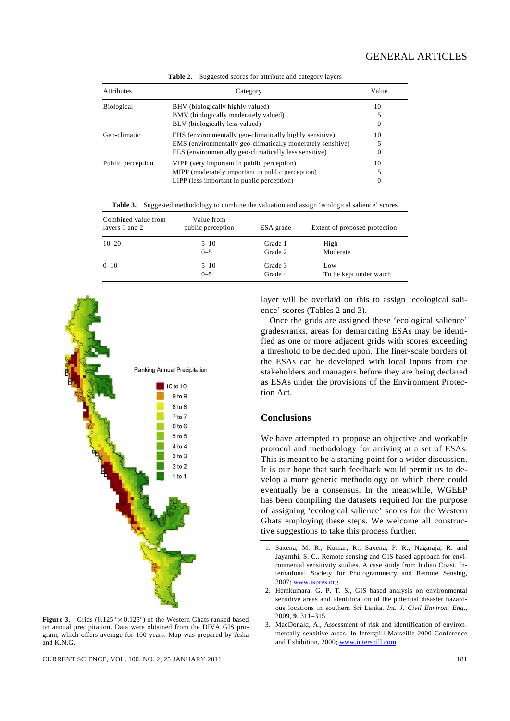| Suggested scores for attribute and category layers<br>Table 2. |                                                                                                                                                                                 |              |  |  |  |  |
|----------------------------------------------------------------|---------------------------------------------------------------------------------------------------------------------------------------------------------------------------------|--------------|--|--|--|--|
| Attributes                                                     | Category                                                                                                                                                                        | Value        |  |  |  |  |
| Biological                                                     | BHV (biologically highly valued)<br>BMV (biologically moderately valued)<br>BLV (biologically less valued)                                                                      | 10<br>0      |  |  |  |  |
| Geo-climatic                                                   | EHS (environmentally geo-climatically highly sensitive)<br>EMS (environmentally geo-climatically moderately sensitive)<br>ELS (environmentally geo-climatically less sensitive) | 10<br>5<br>0 |  |  |  |  |
| Public perception                                              | VIPP (very important in public perception)<br>MIPP (moderately important in public perception)<br>LIPP (less important in public perception)                                    | 10<br>5<br>0 |  |  |  |  |

**Table 3.** Suggested methodology to combine the valuation and assign 'ecological salience' scores

| Combined value from<br>layers 1 and 2 | Value from<br>public perception | ESA grade | Extent of proposed protection |
|---------------------------------------|---------------------------------|-----------|-------------------------------|
| $10 - 20$                             | $5 - 10$                        | Grade 1   | High                          |
|                                       | $0 - 5$                         | Grade 2   | Moderate                      |
| $0 - 10$                              | $5 - 10$                        | Grade 3   | Low                           |
|                                       | $0 - 5$                         | Grade 4   | To be kept under watch        |



**Figure 3.** Grids  $(0.125^\circ \times 0.125^\circ)$  of the Western Ghats ranked based on annual precipitation. Data were obtained from the DIVA GIS program, which offers average for 100 years. Map was prepared by Asha and K.N.G.

CURRENT SCIENCE, VOL. 100, NO. 2, 25 JANUARY 2011 181

layer will be overlaid on this to assign 'ecological salience' scores (Tables 2 and 3).

 Once the grids are assigned these 'ecological salience' grades/ranks, areas for demarcating ESAs may be identified as one or more adjacent grids with scores exceeding a threshold to be decided upon. The finer-scale borders of the ESAs can be developed with local inputs from the stakeholders and managers before they are being declared as ESAs under the provisions of the Environment Protection Act.

#### **Conclusions**

We have attempted to propose an objective and workable protocol and methodology for arriving at a set of ESAs. This is meant to be a starting point for a wider discussion. It is our hope that such feedback would permit us to develop a more generic methodology on which there could eventually be a consensus. In the meanwhile, WGEEP has been compiling the datasets required for the purpose of assigning 'ecological salience' scores for the Western Ghats employing these steps. We welcome all constructive suggestions to take this process further.

- 1. Saxena, M. R., Kumar, R., Saxena, P. R., Nagaraja, R. and Jayanthi, S. C., Remote sensing and GIS based approach for environmental sensitivity studies. A case study from Indian Coast. International Society for Photogrammetry and Remote Sensing, 2007; www.ispres.org
- 2. Hemkumara, G. P. T. S., GIS based analysis on environmental sensitive areas and identification of the potential disaster hazardous locations in southern Sri Lanka. *Int. J. Civil Environ. Eng.*, 2009, **9**, 311–315.
- 3. MacDonald, A., Assessment of risk and identification of environmentally sensitive areas. In Interspill Marseille 2000 Conference and Exhibition, 2000; www.interspill.com